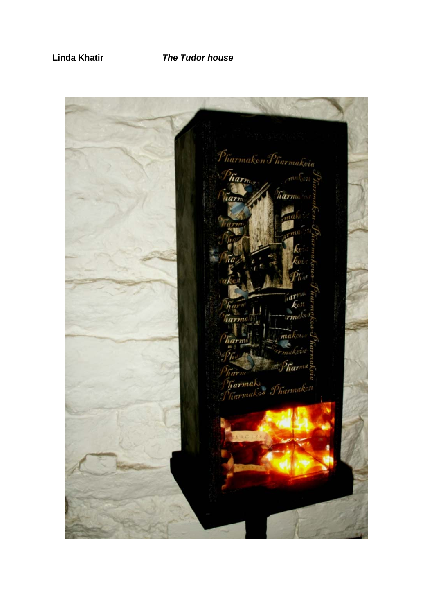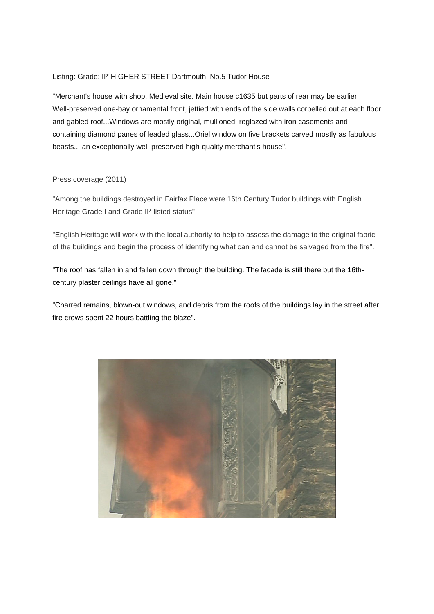## Listing: Grade: II\* HIGHER STREET Dartmouth, No.5 Tudor House

"Merchant's house with shop. Medieval site. Main house c1635 but parts of rear may be earlier ... Well-preserved one-bay ornamental front, jettied with ends of the side walls corbelled out at each floor and gabled roof...Windows are mostly original, mullioned, reglazed with iron casements and containing diamond panes of leaded glass...Oriel window on five brackets carved mostly as fabulous beasts... an exceptionally well-preserved high-quality merchant's house".

## Press coverage (2011)

"Among the buildings destroyed in Fairfax Place were 16th Century Tudor buildings with English Heritage Grade I and Grade II\* listed status"

"English Heritage will work with the local authority to help to assess the damage to the original fabric of the buildings and begin the process of identifying what can and cannot be salvaged from the fire".

"The roof has fallen in and fallen down through the building. The facade is still there but the 16thcentury plaster ceilings have all gone."

"Charred remains, blown-out windows, and debris from the roofs of the buildings lay in the street after fire crews spent 22 hours battling the blaze".

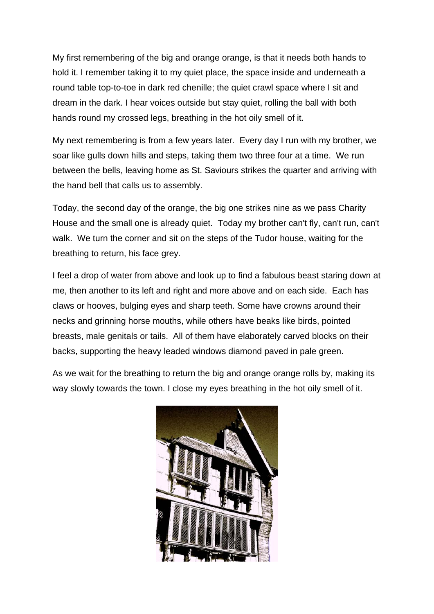My first remembering of the big and orange orange, is that it needs both hands to hold it. I remember taking it to my quiet place, the space inside and underneath a round table top-to-toe in dark red chenille; the quiet crawl space where I sit and dream in the dark. I hear voices outside but stay quiet, rolling the ball with both hands round my crossed legs, breathing in the hot oily smell of it.

My next remembering is from a few years later. Every day I run with my brother, we soar like gulls down hills and steps, taking them two three four at a time. We run between the bells, leaving home as St. Saviours strikes the quarter and arriving with the hand bell that calls us to assembly.

Today, the second day of the orange, the big one strikes nine as we pass Charity House and the small one is already quiet. Today my brother can't fly, can't run, can't walk. We turn the corner and sit on the steps of the Tudor house, waiting for the breathing to return, his face grey.

I feel a drop of water from above and look up to find a fabulous beast staring down at me, then another to its left and right and more above and on each side. Each has claws or hooves, bulging eyes and sharp teeth. Some have crowns around their necks and grinning horse mouths, while others have beaks like birds, pointed breasts, male genitals or tails. All of them have elaborately carved blocks on their backs, supporting the heavy leaded windows diamond paved in pale green.

As we wait for the breathing to return the big and orange orange rolls by, making its way slowly towards the town. I close my eyes breathing in the hot oily smell of it.

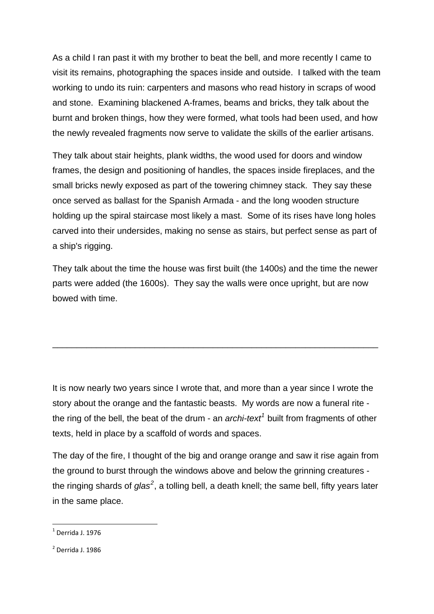As a child I ran past it with my brother to beat the bell, and more recently I came to visit its remains, photographing the spaces inside and outside. I talked with the team working to undo its ruin: carpenters and masons who read history in scraps of wood and stone. Examining blackened A-frames, beams and bricks, they talk about the burnt and broken things, how they were formed, what tools had been used, and how the newly revealed fragments now serve to validate the skills of the earlier artisans.

They talk about stair heights, plank widths, the wood used for doors and window frames, the design and positioning of handles, the spaces inside fireplaces, and the small bricks newly exposed as part of the towering chimney stack. They say these once served as ballast for the Spanish Armada - and the long wooden structure holding up the spiral staircase most likely a mast. Some of its rises have long holes carved into their undersides, making no sense as stairs, but perfect sense as part of a ship's rigging.

They talk about the time the house was first built (the 1400s) and the time the newer parts were added (the 1600s). They say the walls were once upright, but are now bowed with time.

\_\_\_\_\_\_\_\_\_\_\_\_\_\_\_\_\_\_\_\_\_\_\_\_\_\_\_\_\_\_\_\_\_\_\_\_\_\_\_\_\_\_\_\_\_\_\_\_\_\_\_\_\_\_\_\_\_\_\_\_\_\_\_\_\_\_\_

It is now nearly two years since I wrote that, and more than a year since I wrote the story about the orange and the fantastic beasts. My words are now a funeral rite the ring of the bell, the beat of the drum - an *archi-text<sup>[1](#page-3-0)</sup>* built from fragments of other texts, held in place by a scaffold of words and spaces.

The day of the fire, I thought of the big and orange orange and saw it rise again from the ground to burst through the windows above and below the grinning creatures the ringing shards of *glas<sup>[2](#page-3-1)</sup>*, a tolling bell, a death knell; the same bell, fifty years later in the same place.

<span id="page-3-0"></span> $<sup>1</sup>$  Derrida J. 1976</sup>

<span id="page-3-1"></span><sup>2</sup> Derrida J. 1986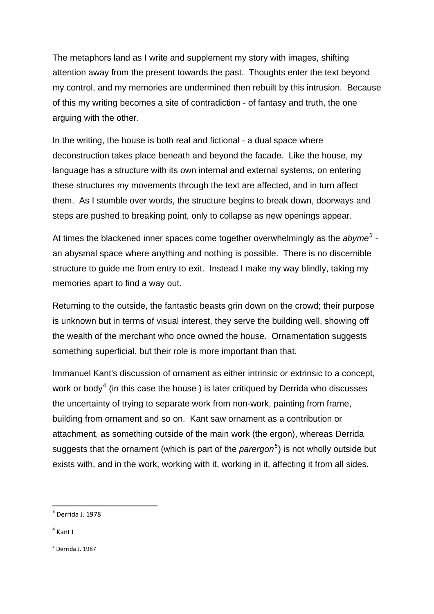The metaphors land as I write and supplement my story with images, shifting attention away from the present towards the past. Thoughts enter the text beyond my control, and my memories are undermined then rebuilt by this intrusion. Because of this my writing becomes a site of contradiction - of fantasy and truth, the one arguing with the other.

In the writing, the house is both real and fictional - a dual space where deconstruction takes place beneath and beyond the facade. Like the house, my language has a structure with its own internal and external systems, on entering these structures my movements through the text are affected, and in turn affect them. As I stumble over words, the structure begins to break down, doorways and steps are pushed to breaking point, only to collapse as new openings appear.

At times the blackened inner spaces come together overwhelmingly as the *abyme[3](#page-4-0)* an abysmal space where anything and nothing is possible. There is no discernible structure to guide me from entry to exit. Instead I make my way blindly, taking my memories apart to find a way out.

Returning to the outside, the fantastic beasts grin down on the crowd; their purpose is unknown but in terms of visual interest, they serve the building well, showing off the wealth of the merchant who once owned the house. Ornamentation suggests something superficial, but their role is more important than that.

Immanuel Kant's discussion of ornament as either intrinsic or extrinsic to a concept, work or body<sup>[4](#page-4-1)</sup> (in this case the house) is later critiqued by Derrida who discusses the uncertainty of trying to separate work from non-work, painting from frame, building from ornament and so on. Kant saw ornament as a contribution or attachment, as something outside of the main work (the ergon), whereas Derrida suggests that the ornament (which is part of the *parergon[5](#page-4-2)* ) is not wholly outside but exists with, and in the work, working with it, working in it, affecting it from all sides.

<span id="page-4-1"></span> $4$  Kant I

<span id="page-4-2"></span> $<sup>5</sup>$  Derrida J. 1987</sup>

<span id="page-4-0"></span> $3$  Derrida J. 1978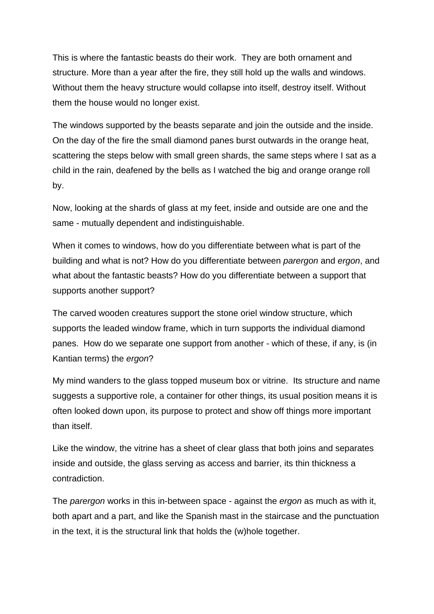This is where the fantastic beasts do their work. They are both ornament and structure. More than a year after the fire, they still hold up the walls and windows. Without them the heavy structure would collapse into itself, destroy itself. Without them the house would no longer exist.

The windows supported by the beasts separate and join the outside and the inside. On the day of the fire the small diamond panes burst outwards in the orange heat, scattering the steps below with small green shards, the same steps where I sat as a child in the rain, deafened by the bells as I watched the big and orange orange roll by.

Now, looking at the shards of glass at my feet, inside and outside are one and the same - mutually dependent and indistinguishable.

When it comes to windows, how do you differentiate between what is part of the building and what is not? How do you differentiate between *parergon* and *ergon*, and what about the fantastic beasts? How do you differentiate between a support that supports another support?

The carved wooden creatures support the stone oriel window structure, which supports the leaded window frame, which in turn supports the individual diamond panes. How do we separate one support from another - which of these, if any, is (in Kantian terms) the *ergon*?

My mind wanders to the glass topped museum box or vitrine. Its structure and name suggests a supportive role, a container for other things, its usual position means it is often looked down upon, its purpose to protect and show off things more important than itself.

Like the window, the vitrine has a sheet of clear glass that both joins and separates inside and outside, the glass serving as access and barrier, its thin thickness a contradiction.

The *parergon* works in this in-between space - against the *ergon* as much as with it, both apart and a part, and like the Spanish mast in the staircase and the punctuation in the text, it is the structural link that holds the (w)hole together.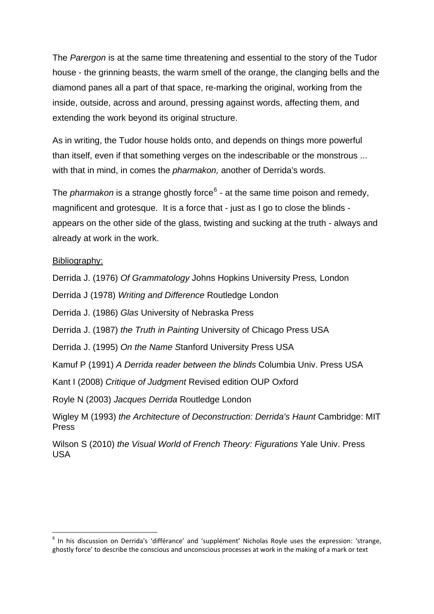The *Parergon* is at the same time threatening and essential to the story of the Tudor house - the grinning beasts, the warm smell of the orange, the clanging bells and the diamond panes all a part of that space, re-marking the original, working from the inside, outside, across and around, pressing against words, affecting them, and extending the work beyond its original structure.

As in writing, the Tudor house holds onto, and depends on things more powerful than itself, even if that something verges on the indescribable or the monstrous ... with that in mind, in comes the *pharmakon,* another of Derrida's words.

The *pharmakon* is a strange ghostly force<sup>[6](#page-6-0)</sup> - at the same time poison and remedy, magnificent and grotesque. It is a force that - just as I go to close the blinds appears on the other side of the glass, twisting and sucking at the truth - always and already at work in the work.

## Bibliography:

Derrida J. (1976) *Of Grammatology* Johns Hopkins University Press*,* London

Derrida J (1978) *Writing and Difference* Routledge London

Derrida J. (1986) *Glas* University of Nebraska Press

Derrida J. (1987) *the Truth in Painting* University of Chicago Press USA

Derrida J. (1995) *On the Name S*tanford University Press USA

Kamuf P (1991) *A Derrida reader between the blinds* Columbia Univ. Press USA

Kant I (2008) *Critique of Judgment* Revised edition OUP Oxford

Royle N (2003) *Jacques Derrida* Routledge London

Wigley M (1993) *the Architecture of Deconstruction: Derrida's Haunt* Cambridge: MIT Press

Wilson S (2010) *the Visual World of French Theory: Figurations* Yale Univ. Press USA

<span id="page-6-0"></span><sup>&</sup>lt;sup>6</sup> In his discussion on Derrida's 'différance' and 'supplément' Nicholas Royle uses the expression: 'strange, ghostly force' to describe the conscious and unconscious processes at work in the making of a mark or text